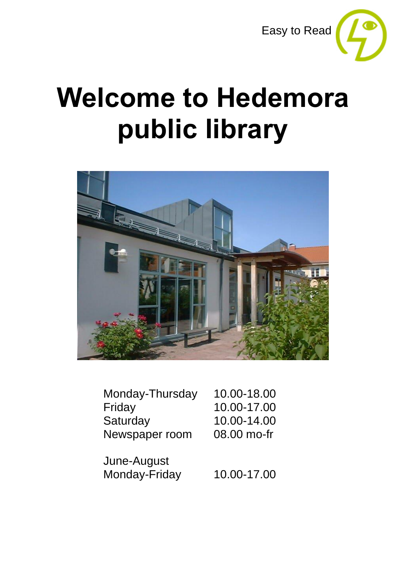

# **Welcome to Hedemora public library**



| Monday-Thursday | 10.00-18.00 |
|-----------------|-------------|
| Friday          | 10.00-17.00 |
| Saturday        | 10.00-14.00 |
| Newspaper room  | 08.00 mo-fr |

June-August Monday-Friday 10.00-17.00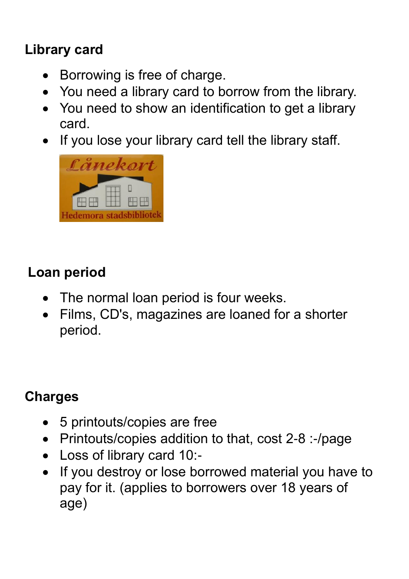### **Library card**

- Borrowing is free of charge.
- You need a library card to borrow from the library.
- You need to show an identification to get a library card.
- If you lose your library card tell the library staff.



#### **Loan period**

- The normal loan period is four weeks.
- Films, CD's, magazines are loaned for a shorter period.

#### **Charges**

- 5 printouts/copies are free
- Printouts/copies addition to that, cost 2-8 :-/page
- Loss of library card 10:-
- If you destroy or lose borrowed material you have to pay for it. (applies to borrowers over 18 years of age)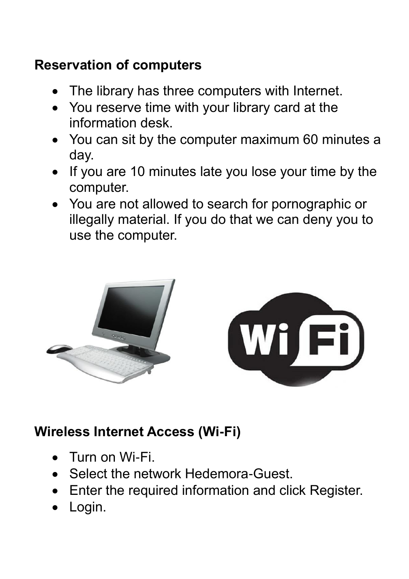#### **Reservation of computers**

- The library has three computers with Internet.
- You reserve time with your library card at the information desk.
- You can sit by the computer maximum 60 minutes a day.
- If you are 10 minutes late you lose your time by the computer.
- You are not allowed to search for pornographic or illegally material. If you do that we can deny you to use the computer.



#### **Wireless Internet Access (Wi-Fi)**

- Turn on Wi-Fi.
- Select the network Hedemora-Guest.
- Enter the required information and click Register.
- Login.